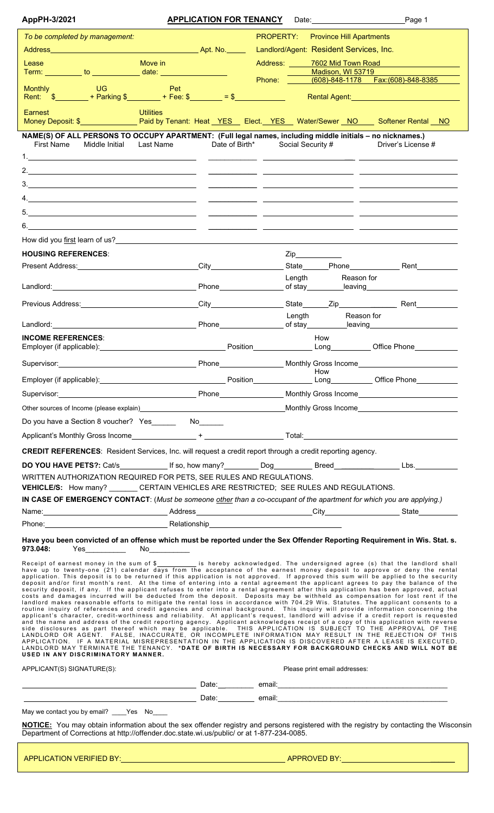| AppPH-3/2021                                                                                                                                                                                                                                                                                                                                                                                                                                                                                                                                                                                                                                                                                                                                                                                                                                                                                                                                                                                                                                                                                                                                                                                                                                                                                                                                                                                                                                                                                                                                                                                                                                                                                                                                                                                                                                               |                  | <b>APPLICATION FOR TENANCY</b> |                                  |                                         | Date: Page 1                                                                                                                                                                                                                   |
|------------------------------------------------------------------------------------------------------------------------------------------------------------------------------------------------------------------------------------------------------------------------------------------------------------------------------------------------------------------------------------------------------------------------------------------------------------------------------------------------------------------------------------------------------------------------------------------------------------------------------------------------------------------------------------------------------------------------------------------------------------------------------------------------------------------------------------------------------------------------------------------------------------------------------------------------------------------------------------------------------------------------------------------------------------------------------------------------------------------------------------------------------------------------------------------------------------------------------------------------------------------------------------------------------------------------------------------------------------------------------------------------------------------------------------------------------------------------------------------------------------------------------------------------------------------------------------------------------------------------------------------------------------------------------------------------------------------------------------------------------------------------------------------------------------------------------------------------------------|------------------|--------------------------------|----------------------------------|-----------------------------------------|--------------------------------------------------------------------------------------------------------------------------------------------------------------------------------------------------------------------------------|
| To be completed by management:                                                                                                                                                                                                                                                                                                                                                                                                                                                                                                                                                                                                                                                                                                                                                                                                                                                                                                                                                                                                                                                                                                                                                                                                                                                                                                                                                                                                                                                                                                                                                                                                                                                                                                                                                                                                                             |                  |                                | <b>PROPERTY:</b>                 | <b>Province Hill Apartments</b>         |                                                                                                                                                                                                                                |
|                                                                                                                                                                                                                                                                                                                                                                                                                                                                                                                                                                                                                                                                                                                                                                                                                                                                                                                                                                                                                                                                                                                                                                                                                                                                                                                                                                                                                                                                                                                                                                                                                                                                                                                                                                                                                                                            |                  |                                |                                  | Landlord/Agent: Resident Services, Inc. |                                                                                                                                                                                                                                |
| Lease                                                                                                                                                                                                                                                                                                                                                                                                                                                                                                                                                                                                                                                                                                                                                                                                                                                                                                                                                                                                                                                                                                                                                                                                                                                                                                                                                                                                                                                                                                                                                                                                                                                                                                                                                                                                                                                      | Move in          |                                |                                  | Madison, WI 53719                       | Address: 7602 Mid Town Road                                                                                                                                                                                                    |
| Term: ___________ to _______________ date: _____________________                                                                                                                                                                                                                                                                                                                                                                                                                                                                                                                                                                                                                                                                                                                                                                                                                                                                                                                                                                                                                                                                                                                                                                                                                                                                                                                                                                                                                                                                                                                                                                                                                                                                                                                                                                                           |                  |                                |                                  |                                         |                                                                                                                                                                                                                                |
| <b>Monthly Monthly</b><br>UG.<br>Rent: \$ ________ + Parking \$ ________ + Fee: \$ _______ = \$ _____________                                                                                                                                                                                                                                                                                                                                                                                                                                                                                                                                                                                                                                                                                                                                                                                                                                                                                                                                                                                                                                                                                                                                                                                                                                                                                                                                                                                                                                                                                                                                                                                                                                                                                                                                              | <b>Pet</b>       |                                |                                  |                                         | Rental Agent: New York State State State State State State State State State State State State State State State State State State State State State State State State State State State State State State State State State S |
| Earnest<br>Money Deposit: \$__________________Paid by Tenant: Heat YES__ Elect. YES__ Water/Sewer NO____ Softener Rental NO                                                                                                                                                                                                                                                                                                                                                                                                                                                                                                                                                                                                                                                                                                                                                                                                                                                                                                                                                                                                                                                                                                                                                                                                                                                                                                                                                                                                                                                                                                                                                                                                                                                                                                                                | <b>Utilities</b> |                                |                                  |                                         |                                                                                                                                                                                                                                |
| NAME(S) OF ALL PERSONS TO OCCUPY APARTMENT: (Full legal names, including middle initials - no nicknames.)                                                                                                                                                                                                                                                                                                                                                                                                                                                                                                                                                                                                                                                                                                                                                                                                                                                                                                                                                                                                                                                                                                                                                                                                                                                                                                                                                                                                                                                                                                                                                                                                                                                                                                                                                  |                  |                                |                                  |                                         |                                                                                                                                                                                                                                |
| Middle Initial Last Name<br><b>First Name</b>                                                                                                                                                                                                                                                                                                                                                                                                                                                                                                                                                                                                                                                                                                                                                                                                                                                                                                                                                                                                                                                                                                                                                                                                                                                                                                                                                                                                                                                                                                                                                                                                                                                                                                                                                                                                              |                  |                                | Date of Birth* Social Security # |                                         | Driver's License #                                                                                                                                                                                                             |
|                                                                                                                                                                                                                                                                                                                                                                                                                                                                                                                                                                                                                                                                                                                                                                                                                                                                                                                                                                                                                                                                                                                                                                                                                                                                                                                                                                                                                                                                                                                                                                                                                                                                                                                                                                                                                                                            |                  |                                |                                  |                                         |                                                                                                                                                                                                                                |
|                                                                                                                                                                                                                                                                                                                                                                                                                                                                                                                                                                                                                                                                                                                                                                                                                                                                                                                                                                                                                                                                                                                                                                                                                                                                                                                                                                                                                                                                                                                                                                                                                                                                                                                                                                                                                                                            |                  |                                |                                  |                                         |                                                                                                                                                                                                                                |
|                                                                                                                                                                                                                                                                                                                                                                                                                                                                                                                                                                                                                                                                                                                                                                                                                                                                                                                                                                                                                                                                                                                                                                                                                                                                                                                                                                                                                                                                                                                                                                                                                                                                                                                                                                                                                                                            |                  |                                |                                  |                                         |                                                                                                                                                                                                                                |
|                                                                                                                                                                                                                                                                                                                                                                                                                                                                                                                                                                                                                                                                                                                                                                                                                                                                                                                                                                                                                                                                                                                                                                                                                                                                                                                                                                                                                                                                                                                                                                                                                                                                                                                                                                                                                                                            |                  |                                |                                  |                                         |                                                                                                                                                                                                                                |
|                                                                                                                                                                                                                                                                                                                                                                                                                                                                                                                                                                                                                                                                                                                                                                                                                                                                                                                                                                                                                                                                                                                                                                                                                                                                                                                                                                                                                                                                                                                                                                                                                                                                                                                                                                                                                                                            |                  |                                |                                  |                                         |                                                                                                                                                                                                                                |
|                                                                                                                                                                                                                                                                                                                                                                                                                                                                                                                                                                                                                                                                                                                                                                                                                                                                                                                                                                                                                                                                                                                                                                                                                                                                                                                                                                                                                                                                                                                                                                                                                                                                                                                                                                                                                                                            |                  |                                |                                  |                                         | <u> 1989 - Andrea Santa Andrea Andrea Andrea Andrea Andrea Andrea Andrea Andrea Andrea Andrea Andrea Andrea Andr</u>                                                                                                           |
| <b>HOUSING REFERENCES:</b>                                                                                                                                                                                                                                                                                                                                                                                                                                                                                                                                                                                                                                                                                                                                                                                                                                                                                                                                                                                                                                                                                                                                                                                                                                                                                                                                                                                                                                                                                                                                                                                                                                                                                                                                                                                                                                 |                  |                                |                                  | $\mathsf{Zip}\_\_\_\_\_\_\_\_\_\_\$     |                                                                                                                                                                                                                                |
| Present Address: Management Address: Management Address: Management Address: Management Address: No. 1976                                                                                                                                                                                                                                                                                                                                                                                                                                                                                                                                                                                                                                                                                                                                                                                                                                                                                                                                                                                                                                                                                                                                                                                                                                                                                                                                                                                                                                                                                                                                                                                                                                                                                                                                                  |                  |                                |                                  |                                         | State Phone Rent                                                                                                                                                                                                               |
|                                                                                                                                                                                                                                                                                                                                                                                                                                                                                                                                                                                                                                                                                                                                                                                                                                                                                                                                                                                                                                                                                                                                                                                                                                                                                                                                                                                                                                                                                                                                                                                                                                                                                                                                                                                                                                                            |                  |                                |                                  | Length                                  | Reason for                                                                                                                                                                                                                     |
|                                                                                                                                                                                                                                                                                                                                                                                                                                                                                                                                                                                                                                                                                                                                                                                                                                                                                                                                                                                                                                                                                                                                                                                                                                                                                                                                                                                                                                                                                                                                                                                                                                                                                                                                                                                                                                                            |                  |                                |                                  |                                         |                                                                                                                                                                                                                                |
| Previous Address: Notified and City City Contract Contract Contract City Contract City Contract City Contract City Contract City Contract City Contract City Contract City Contract City Contract City Contract City Contract                                                                                                                                                                                                                                                                                                                                                                                                                                                                                                                                                                                                                                                                                                                                                                                                                                                                                                                                                                                                                                                                                                                                                                                                                                                                                                                                                                                                                                                                                                                                                                                                                              |                  |                                |                                  |                                         |                                                                                                                                                                                                                                |
|                                                                                                                                                                                                                                                                                                                                                                                                                                                                                                                                                                                                                                                                                                                                                                                                                                                                                                                                                                                                                                                                                                                                                                                                                                                                                                                                                                                                                                                                                                                                                                                                                                                                                                                                                                                                                                                            |                  |                                |                                  | Length                                  | Reason for                                                                                                                                                                                                                     |
| <b>INCOME REFERENCES:</b>                                                                                                                                                                                                                                                                                                                                                                                                                                                                                                                                                                                                                                                                                                                                                                                                                                                                                                                                                                                                                                                                                                                                                                                                                                                                                                                                                                                                                                                                                                                                                                                                                                                                                                                                                                                                                                  |                  |                                |                                  | How                                     |                                                                                                                                                                                                                                |
|                                                                                                                                                                                                                                                                                                                                                                                                                                                                                                                                                                                                                                                                                                                                                                                                                                                                                                                                                                                                                                                                                                                                                                                                                                                                                                                                                                                                                                                                                                                                                                                                                                                                                                                                                                                                                                                            |                  |                                |                                  |                                         |                                                                                                                                                                                                                                |
|                                                                                                                                                                                                                                                                                                                                                                                                                                                                                                                                                                                                                                                                                                                                                                                                                                                                                                                                                                                                                                                                                                                                                                                                                                                                                                                                                                                                                                                                                                                                                                                                                                                                                                                                                                                                                                                            |                  |                                |                                  | How                                     |                                                                                                                                                                                                                                |
| Supervisor: <u>Community of the Community of Community of the Community of Community of the Community of Community of Community of Community of Community of Community of Community of Community of Community of Community of Co</u>                                                                                                                                                                                                                                                                                                                                                                                                                                                                                                                                                                                                                                                                                                                                                                                                                                                                                                                                                                                                                                                                                                                                                                                                                                                                                                                                                                                                                                                                                                                                                                                                                       |                  |                                |                                  |                                         |                                                                                                                                                                                                                                |
|                                                                                                                                                                                                                                                                                                                                                                                                                                                                                                                                                                                                                                                                                                                                                                                                                                                                                                                                                                                                                                                                                                                                                                                                                                                                                                                                                                                                                                                                                                                                                                                                                                                                                                                                                                                                                                                            |                  |                                |                                  |                                         |                                                                                                                                                                                                                                |
| Do you have a Section 8 voucher? Yes No No No                                                                                                                                                                                                                                                                                                                                                                                                                                                                                                                                                                                                                                                                                                                                                                                                                                                                                                                                                                                                                                                                                                                                                                                                                                                                                                                                                                                                                                                                                                                                                                                                                                                                                                                                                                                                              |                  |                                |                                  |                                         |                                                                                                                                                                                                                                |
|                                                                                                                                                                                                                                                                                                                                                                                                                                                                                                                                                                                                                                                                                                                                                                                                                                                                                                                                                                                                                                                                                                                                                                                                                                                                                                                                                                                                                                                                                                                                                                                                                                                                                                                                                                                                                                                            |                  |                                |                                  |                                         |                                                                                                                                                                                                                                |
| <b>CREDIT REFERENCES:</b> Resident Services, Inc. will request a credit report through a credit reporting agency.                                                                                                                                                                                                                                                                                                                                                                                                                                                                                                                                                                                                                                                                                                                                                                                                                                                                                                                                                                                                                                                                                                                                                                                                                                                                                                                                                                                                                                                                                                                                                                                                                                                                                                                                          |                  |                                |                                  |                                         |                                                                                                                                                                                                                                |
|                                                                                                                                                                                                                                                                                                                                                                                                                                                                                                                                                                                                                                                                                                                                                                                                                                                                                                                                                                                                                                                                                                                                                                                                                                                                                                                                                                                                                                                                                                                                                                                                                                                                                                                                                                                                                                                            |                  |                                |                                  |                                         |                                                                                                                                                                                                                                |
| WRITTEN AUTHORIZATION REQUIRED FOR PETS, SEE RULES AND REGULATIONS.<br>VEHICLE/S: How many? ________ CERTAIN VEHICLES ARE RESTRICTED; SEE RULES AND REGULATIONS.                                                                                                                                                                                                                                                                                                                                                                                                                                                                                                                                                                                                                                                                                                                                                                                                                                                                                                                                                                                                                                                                                                                                                                                                                                                                                                                                                                                                                                                                                                                                                                                                                                                                                           |                  |                                |                                  |                                         |                                                                                                                                                                                                                                |
| IN CASE OF EMERGENCY CONTACT: (Must be someone other than a co-occupant of the apartment for which you are applying.)                                                                                                                                                                                                                                                                                                                                                                                                                                                                                                                                                                                                                                                                                                                                                                                                                                                                                                                                                                                                                                                                                                                                                                                                                                                                                                                                                                                                                                                                                                                                                                                                                                                                                                                                      |                  |                                |                                  |                                         |                                                                                                                                                                                                                                |
| Name: State State Communication City City Communication City State State State State State State State State State State State State State State State State State State State State State State State State State State State                                                                                                                                                                                                                                                                                                                                                                                                                                                                                                                                                                                                                                                                                                                                                                                                                                                                                                                                                                                                                                                                                                                                                                                                                                                                                                                                                                                                                                                                                                                                                                                                                             |                  |                                |                                  |                                         |                                                                                                                                                                                                                                |
| Phone: Note and the Contract of Contract Contract Contract Contract Contract Contract Contract Contract Contract Contract Contract Contract Contract Contract Contract Contract Contract Contract Contract Contract Contract C                                                                                                                                                                                                                                                                                                                                                                                                                                                                                                                                                                                                                                                                                                                                                                                                                                                                                                                                                                                                                                                                                                                                                                                                                                                                                                                                                                                                                                                                                                                                                                                                                             |                  |                                |                                  |                                         |                                                                                                                                                                                                                                |
| Have you been convicted of an offense which must be reported under the Sex Offender Reporting Requirement in Wis. Stat. s.<br>973.048:                                                                                                                                                                                                                                                                                                                                                                                                                                                                                                                                                                                                                                                                                                                                                                                                                                                                                                                                                                                                                                                                                                                                                                                                                                                                                                                                                                                                                                                                                                                                                                                                                                                                                                                     |                  |                                |                                  |                                         |                                                                                                                                                                                                                                |
| Receipt of earnest money in the sum of \$____________ is hereby acknowledged. The undersigned agree (s) that the landlord shall<br>have up to twenty-one (21) calendar days from the acceptance of the earnest money deposit to approve or deny the rental<br>application. This deposit is to be returned if this application is not approved. If approved this sum will be applied to the security<br>deposit and/or first month's rent. At the time of entering into a rental agreement the applicant agrees to pay the balance of the<br>security deposit, if any. If the applicant refuses to enter into a rental agreement after this application has been approved, actual<br>costs and damages incurred will be deducted from the deposit. Deposits may be withheld as compensation for lost rent if the<br>landlord makes reasonable efforts to mitigate the rental loss in accordance with 704.29 Wis. Statutes. The applicant consents to a<br>routine inquiry of references and credit agencies and criminal background. This inquiry will provide information concerning the<br>applicant's character, credit-worthiness and reliability. At applicant's request, landlord will advise if a credit report is requested<br>and the name and address of the credit reporting agency. Applicant acknowledges receipt of a copy of this application with reverse<br>side disclosures as part thereof which may be applicable. THIS APPLICATION IS SUBJECT TO THE APPROVAL OF THE<br>LANDLORD OR AGENT. FALSE, INACCURATE, OR INCOMPLETE INFORMATION MAY RESULT IN THE REJECTION OF THIS<br>APPLICATION. IF A MATERIAL MISREPRESENTATION IN THE APPLICATION IS DISCOVERED AFTER A LEASE IS EXECUTED,<br>LANDLORD MAY TERMINATE THE TENANCY. *DATE OF BIRTH IS NECESSARY FOR BACKGROUND CHECKS AND WILL NOT BE<br>USED IN ANY DISCRIMINATORY MANNER. |                  |                                |                                  |                                         |                                                                                                                                                                                                                                |
| APPLICANT(S) SIGNATURE(S):                                                                                                                                                                                                                                                                                                                                                                                                                                                                                                                                                                                                                                                                                                                                                                                                                                                                                                                                                                                                                                                                                                                                                                                                                                                                                                                                                                                                                                                                                                                                                                                                                                                                                                                                                                                                                                 |                  |                                |                                  | Please print email addresses:           |                                                                                                                                                                                                                                |
|                                                                                                                                                                                                                                                                                                                                                                                                                                                                                                                                                                                                                                                                                                                                                                                                                                                                                                                                                                                                                                                                                                                                                                                                                                                                                                                                                                                                                                                                                                                                                                                                                                                                                                                                                                                                                                                            |                  |                                |                                  |                                         |                                                                                                                                                                                                                                |
|                                                                                                                                                                                                                                                                                                                                                                                                                                                                                                                                                                                                                                                                                                                                                                                                                                                                                                                                                                                                                                                                                                                                                                                                                                                                                                                                                                                                                                                                                                                                                                                                                                                                                                                                                                                                                                                            |                  |                                |                                  |                                         |                                                                                                                                                                                                                                |
| May we contact you by email? ____Yes No____                                                                                                                                                                                                                                                                                                                                                                                                                                                                                                                                                                                                                                                                                                                                                                                                                                                                                                                                                                                                                                                                                                                                                                                                                                                                                                                                                                                                                                                                                                                                                                                                                                                                                                                                                                                                                |                  |                                |                                  |                                         |                                                                                                                                                                                                                                |
| NOTICE: You may obtain information about the sex offender registry and persons registered with the registry by contacting the Wisconsin<br>Department of Corrections at http://offender.doc.state.wi.us/public/ or at 1-877-234-0085.                                                                                                                                                                                                                                                                                                                                                                                                                                                                                                                                                                                                                                                                                                                                                                                                                                                                                                                                                                                                                                                                                                                                                                                                                                                                                                                                                                                                                                                                                                                                                                                                                      |                  |                                |                                  |                                         |                                                                                                                                                                                                                                |
|                                                                                                                                                                                                                                                                                                                                                                                                                                                                                                                                                                                                                                                                                                                                                                                                                                                                                                                                                                                                                                                                                                                                                                                                                                                                                                                                                                                                                                                                                                                                                                                                                                                                                                                                                                                                                                                            |                  |                                |                                  |                                         |                                                                                                                                                                                                                                |
|                                                                                                                                                                                                                                                                                                                                                                                                                                                                                                                                                                                                                                                                                                                                                                                                                                                                                                                                                                                                                                                                                                                                                                                                                                                                                                                                                                                                                                                                                                                                                                                                                                                                                                                                                                                                                                                            |                  |                                |                                  |                                         |                                                                                                                                                                                                                                |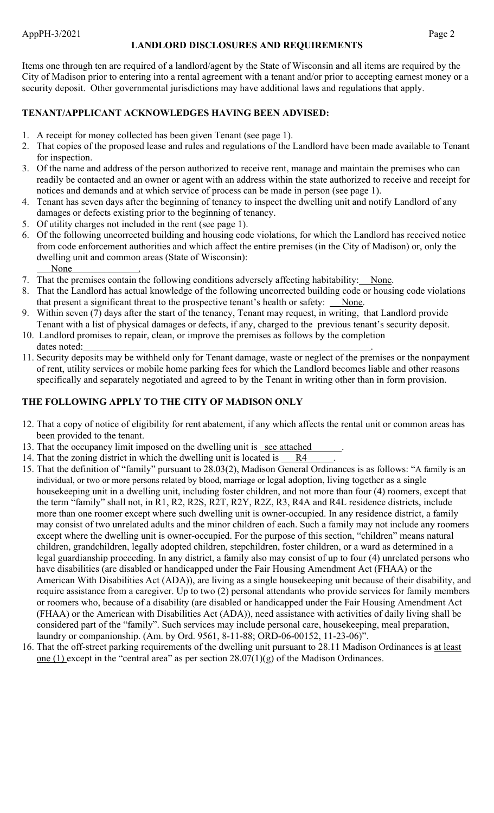### **LANDLORD DISCLOSURES AND REQUIREMENTS**

Items one through ten are required of a landlord/agent by the State of Wisconsin and all items are required by the City of Madison prior to entering into a rental agreement with a tenant and/or prior to accepting earnest money or a security deposit. Other governmental jurisdictions may have additional laws and regulations that apply.

# **TENANT/APPLICANT ACKNOWLEDGES HAVING BEEN ADVISED:**

- 1. A receipt for money collected has been given Tenant (see page 1).
- 2. That copies of the proposed lease and rules and regulations of the Landlord have been made available to Tenant for inspection.
- 3. Of the name and address of the person authorized to receive rent, manage and maintain the premises who can readily be contacted and an owner or agent with an address within the state authorized to receive and receipt for notices and demands and at which service of process can be made in person (see page 1).
- 4. Tenant has seven days after the beginning of tenancy to inspect the dwelling unit and notify Landlord of any damages or defects existing prior to the beginning of tenancy.
- 5. Of utility charges not included in the rent (see page 1).
- 6. Of the following uncorrected building and housing code violations, for which the Landlord has received notice from code enforcement authorities and which affect the entire premises (in the City of Madison) or, only the dwelling unit and common areas (State of Wisconsin): None
- 7. That the premises contain the following conditions adversely affecting habitability: None.
- 8. That the Landlord has actual knowledge of the following uncorrected building code or housing code violations that present a significant threat to the prospective tenant's health or safety:  $\_\$  None.
- 9. Within seven (7) days after the start of the tenancy, Tenant may request, in writing, that Landlord provide Tenant with a list of physical damages or defects, if any, charged to the previous tenant's security deposit.
- 10. Landlord promises to repair, clean, or improve the premises as follows by the completion dates noted:
- 11. Security deposits may be withheld only for Tenant damage, waste or neglect of the premises or the nonpayment of rent, utility services or mobile home parking fees for which the Landlord becomes liable and other reasons specifically and separately negotiated and agreed to by the Tenant in writing other than in form provision.

# **THE FOLLOWING APPLY TO THE CITY OF MADISON ONLY**

- 12. That a copy of notice of eligibility for rent abatement, if any which affects the rental unit or common areas has been provided to the tenant.
- 13. That the occupancy limit imposed on the dwelling unit is see attached
- 14. That the zoning district in which the dwelling unit is located is  $R4$
- 15. That the definition of "family" pursuant to 28.03(2), Madison General Ordinances is as follows: "A family is an individual, or two or more persons related by blood, marriage or legal adoption, living together as a single housekeeping unit in a dwelling unit, including foster children, and not more than four (4) roomers, except that the term "family" shall not, in R1, R2, R2S, R2T, R2Y, R2Z, R3, R4A and R4L residence districts, include more than one roomer except where such dwelling unit is owner-occupied. In any residence district, a family may consist of two unrelated adults and the minor children of each. Such a family may not include any roomers except where the dwelling unit is owner-occupied. For the purpose of this section, "children" means natural children, grandchildren, legally adopted children, stepchildren, foster children, or a ward as determined in a legal guardianship proceeding. In any district, a family also may consist of up to four (4) unrelated persons who have disabilities (are disabled or handicapped under the Fair Housing Amendment Act (FHAA) or the American With Disabilities Act (ADA)), are living as a single housekeeping unit because of their disability, and require assistance from a caregiver. Up to two (2) personal attendants who provide services for family members or roomers who, because of a disability (are disabled or handicapped under the Fair Housing Amendment Act (FHAA) or the American with Disabilities Act (ADA)), need assistance with activities of daily living shall be considered part of the "family". Such services may include personal care, housekeeping, meal preparation, laundry or companionship. (Am. by Ord. 9561, 8-11-88; ORD-06-00152, 11-23-06)".
- 16. That the off-street parking requirements of the dwelling unit pursuant to 28.11 Madison Ordinances is at least one (1) except in the "central area" as per section  $28.07(1)(g)$  of the Madison Ordinances.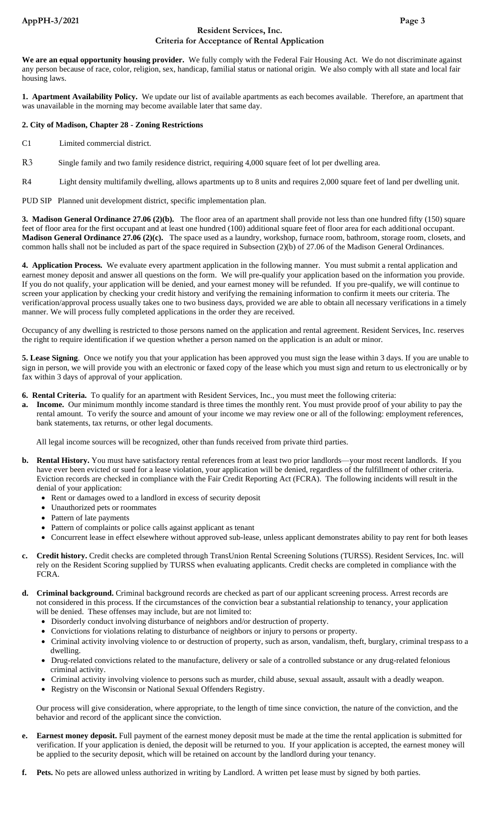#### **Resident Services, Inc. Criteria for Acceptance of Rental Application**

**We are an equal opportunity housing provider.** We fully comply with the Federal Fair Housing Act. We do not discriminate against any person because of race, color, religion, sex, handicap, familial status or national origin. We also comply with all state and local fair housing laws.

**1. Apartment Availability Policy.** We update our list of available apartments as each becomes available. Therefore, an apartment that was unavailable in the morning may become available later that same day.

#### **2. City of Madison, Chapter 28 - Zoning Restrictions**

- C1 Limited commercial district.
- R3 Single family and two family residence district, requiring 4,000 square feet of lot per dwelling area.
- R4 Light density multifamily dwelling, allows apartments up to 8 units and requires 2,000 square feet of land per dwelling unit.

PUD SIP Planned unit development district, specific implementation plan.

**3. Madison General Ordinance 27.06 (2)(b).** The floor area of an apartment shall provide not less than one hundred fifty (150) square feet of floor area for the first occupant and at least one hundred (100) additional square feet of floor area for each additional occupant. **Madison General Ordinance 27.06 (2)(c).** The space used as a laundry, workshop, furnace room, bathroom, storage room, closets, and common halls shall not be included as part of the space required in Subsection (2)(b) of 27.06 of the Madison General Ordinances.

**4. Application Process.** We evaluate every apartment application in the following manner. You must submit a rental application and earnest money deposit and answer all questions on the form. We will pre-qualify your application based on the information you provide. If you do not qualify, your application will be denied, and your earnest money will be refunded. If you pre-qualify, we will continue to screen your application by checking your credit history and verifying the remaining information to confirm it meets our criteria. The verification/approval process usually takes one to two business days, provided we are able to obtain all necessary verifications in a timely manner. We will process fully completed applications in the order they are received.

Occupancy of any dwelling is restricted to those persons named on the application and rental agreement. Resident Services, Inc. reserves the right to require identification if we question whether a person named on the application is an adult or minor.

**5. Lease Signing**. Once we notify you that your application has been approved you must sign the lease within 3 days. If you are unable to sign in person, we will provide you with an electronic or faxed copy of the lease which you must sign and return to us electronically or by fax within 3 days of approval of your application.

- **6. Rental Criteria.** To qualify for an apartment with Resident Services, Inc., you must meet the following criteria:
- **a. Income.** Our minimum monthly income standard is three times the monthly rent. You must provide proof of your ability to pay the rental amount. To verify the source and amount of your income we may review one or all of the following: employment references, bank statements, tax returns, or other legal documents.

All legal income sources will be recognized, other than funds received from private third parties.

- **b. Rental History.** You must have satisfactory rental references from at least two prior landlords—your most recent landlords. If you have ever been evicted or sued for a lease violation, your application will be denied, regardless of the fulfillment of other criteria. Eviction records are checked in compliance with the Fair Credit Reporting Act (FCRA). The following incidents will result in the denial of your application:
	- Rent or damages owed to a landlord in excess of security deposit
	- Unauthorized pets or roommates
	- Pattern of late payments
	- Pattern of complaints or police calls against applicant as tenant
	- Concurrent lease in effect elsewhere without approved sub-lease, unless applicant demonstrates ability to pay rent for both leases
- **c. Credit history.** Credit checks are completed through TransUnion Rental Screening Solutions (TURSS). Resident Services, Inc. will rely on the Resident Scoring supplied by TURSS when evaluating applicants. Credit checks are completed in compliance with the FCRA.
- **d. Criminal background.** Criminal background records are checked as part of our applicant screening process. Arrest records are not considered in this process. If the circumstances of the conviction bear a substantial relationship to tenancy, your application will be denied. These offenses may include, but are not limited to:
	- Disorderly conduct involving disturbance of neighbors and/or destruction of property.
	- Convictions for violations relating to disturbance of neighbors or injury to persons or property.
	- Criminal activity involving violence to or destruction of property, such as arson, vandalism, theft, burglary, criminal trespass to a dwelling.
	- Drug-related convictions related to the manufacture, delivery or sale of a controlled substance or any drug-related felonious criminal activity.
	- Criminal activity involving violence to persons such as murder, child abuse, sexual assault, assault with a deadly weapon.
	- Registry on the Wisconsin or National Sexual Offenders Registry.

 Our process will give consideration, where appropriate, to the length of time since conviction, the nature of the conviction, and the behavior and record of the applicant since the conviction.

- **e. Earnest money deposit.** Full payment of the earnest money deposit must be made at the time the rental application is submitted for verification. If your application is denied, the deposit will be returned to you. If your application is accepted, the earnest money will be applied to the security deposit, which will be retained on account by the landlord during your tenancy.
- **f. Pets.** No pets are allowed unless authorized in writing by Landlord. A written pet lease must by signed by both parties.